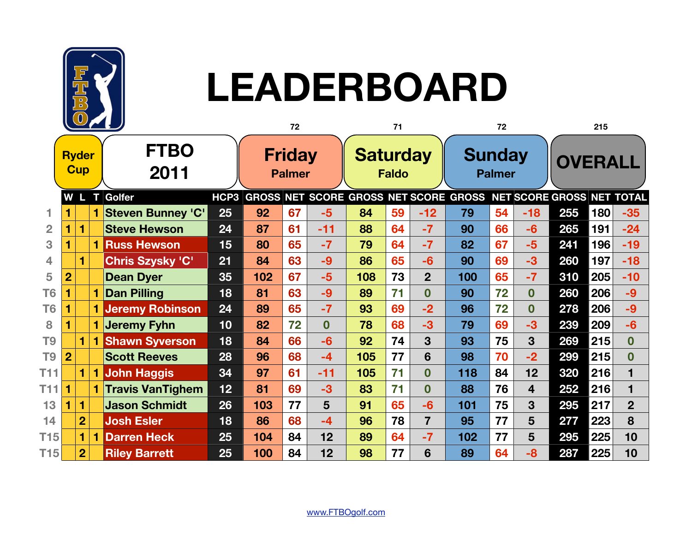

## **LEADERBOARD**

|                 | $\mathbb{C}$               |                |                |                          | 72   |                                | 71 |                                 | 72  |                                | 215                     |                                                                 |    |                         |     |     |                |
|-----------------|----------------------------|----------------|----------------|--------------------------|------|--------------------------------|----|---------------------------------|-----|--------------------------------|-------------------------|-----------------------------------------------------------------|----|-------------------------|-----|-----|----------------|
|                 | <b>Ryder</b><br><b>Cup</b> |                |                | <b>FTBO</b><br>2011      |      | <b>Friday</b><br><b>Palmer</b> |    | <b>Saturday</b><br><b>Faldo</b> |     | <b>Sunday</b><br><b>Palmer</b> |                         | <b>OVERALL</b>                                                  |    |                         |     |     |                |
|                 | $ \mathbf{w} $             |                |                | L T Golfer               | HCP3 |                                |    |                                 |     |                                |                         | GROSS NET SCORE GROSS NET SCORE GROSS NET SCORE GROSS NET TOTAL |    |                         |     |     |                |
|                 |                            |                | $\blacksquare$ | <b>Steven Bunney 'C'</b> | 25   | 92                             | 67 | $-5$                            | 84  | 59                             | $-12$                   | 79                                                              | 54 | $-18$                   | 255 | 180 | $-35$          |
| $\overline{2}$  |                            |                |                | <b>Steve Hewson</b>      | 24   | 87                             | 61 | $-11$                           | 88  | 64                             | $-7$                    | 90                                                              | 66 | $-6$                    | 265 | 191 | $-24$          |
| 3               |                            |                |                | <b>1 Russ Hewson</b>     | 15   | 80                             | 65 | $-7$                            | 79  | 64                             | $-7$                    | 82                                                              | 67 | $-5$                    | 241 | 196 | $-19$          |
| 4               |                            |                |                | Chris Szysky 'C'         | 21   | 84                             | 63 | $-9$                            | 86  | 65                             | $-6$                    | 90                                                              | 69 | $-3$                    | 260 | 197 | $-18$          |
| 5               | $\overline{2}$             |                |                | <b>Dean Dyer</b>         | 35   | 102                            | 67 | $-5$                            | 108 | 73                             | $\overline{2}$          | 100                                                             | 65 | $-7$                    | 310 | 205 | $-10$          |
| T <sub>6</sub>  | 1                          |                |                | <b>1 Dan Pilling</b>     | 18   | 81                             | 63 | $-9$                            | 89  | 71                             | $\boldsymbol{0}$        | 90                                                              | 72 | $\mathbf 0$             | 260 | 206 | $-9$           |
| T <sub>6</sub>  |                            |                |                | <b>1 Jeremy Robinson</b> | 24   | 89                             | 65 | $-7$                            | 93  | 69                             | $-2$                    | 96                                                              | 72 | $\mathbf 0$             | 278 | 206 | $-9$           |
| 8               |                            |                |                | 1 Jeremy Fyhn            | 10   | 82                             | 72 | $\mathbf{0}$                    | 78  | 68                             | $-3$                    | 79                                                              | 69 | $-3$                    | 239 | 209 | $-6$           |
| T <sub>9</sub>  |                            |                |                | <b>1 Shawn Syverson</b>  | 18   | 84                             | 66 | $-6$                            | 92  | 74                             | 3                       | 93                                                              | 75 | $\overline{3}$          | 269 | 215 | $\mathbf{0}$   |
| T <sub>9</sub>  | $\overline{2}$             |                |                | <b>Scott Reeves</b>      | 28   | 96                             | 68 | $-4$                            | 105 | 77                             | 6                       | 98                                                              | 70 | $-2$                    | 299 | 215 | $\bf{0}$       |
| T <sub>11</sub> |                            |                |                | <b>1 John Haggis</b>     | 34   | 97                             | 61 | $-11$                           | 105 | 71                             | $\bf{0}$                | 118                                                             | 84 | 12                      | 320 | 216 | 1              |
| T11             | 1                          |                |                | 1 Travis VanTighem       | 12   | 81                             | 69 | $-3$                            | 83  | 71                             | $\overline{\mathbf{0}}$ | 88                                                              | 76 | $\overline{\mathbf{4}}$ | 252 | 216 | 1              |
| 13              |                            |                |                | <b>Jason Schmidt</b>     | 26   | 103                            | 77 | 5                               | 91  | 65                             | $-6$                    | 101                                                             | 75 | 3                       | 295 | 217 | $\overline{2}$ |
| 14              |                            | $\overline{2}$ |                | <b>Josh Esler</b>        | 18   | 86                             | 68 | $-4$                            | 96  | 78                             | $\overline{7}$          | 95                                                              | 77 | 5                       | 277 | 223 | 8              |
| T15             |                            |                | 1              | <b>Darren Heck</b>       | 25   | 104                            | 84 | 12                              | 89  | 64                             | $-7$                    | 102                                                             | 77 | 5                       | 295 | 225 | 10             |
| <b>T15</b>      |                            | $\overline{2}$ |                | <b>Riley Barrett</b>     | 25   | 100                            | 84 | 12                              | 98  | 77                             | 6                       | 89                                                              | 64 | -8                      | 287 | 225 | 10             |